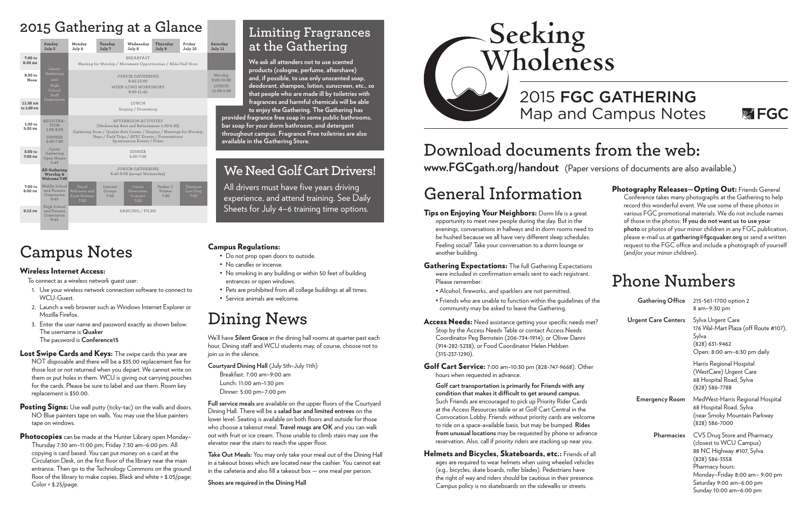# **Campus Notes**

### Wireless Internet Access:

To connect as a wireless network guest user:

- 1. Use your wireless network connection software to connect to WCU-Guest.
- 2. Launch a web browser such as Windows Internet Explorer or Mozilla Firefox.
- 3. Enter the user name and password exactly as shown below: The username is **Quaker** The password is **Conference15**
- Lost Swipe Cards and Keys: The swipe cards this year are NOT disposable and there will be a \$35.00 replacement fee for those lost or not returned when you depart. We cannot write on them or put holes in them. WCU is giving out carrying pouches for the cards. Please be sure to label and use them. Room key replacement is \$50.00.
- **Posting Signs:** Use wall putty (ticky-tac) on the walls and doors. NO Blue painters tape on walls. You may use the blue painters tape on windows.
- Photocopies can be made at the Hunter Library open Monday-Thursday 7:30 am–11:00 pm; Friday 7:30 am–6:00 pm. All copying is card based. You can put money on a card at the Circulation Desk, on the first floor of the library near the main entrance. Then go to the Technology Commons on the ground floor of the library to make copies. Black and white = \$.05/page; Color = \$.25/page.

## Campus Regulations:

- Do not prop open doors to outside.
- No candles or incense.
- No smoking in any building or within 50 feet of building entrances or open windows.
- Pets are prohibited from all college buildings at all times.
- Service animals are welcome.

# **Dining News**

We'll have **Silent Grace** in the dining hall rooms at quarter past each hour. Dining staff and WCU students may, of course, choose not to join us in the silence.

**Courtyard Dining Hall** (July 5th–July 11th) Breakfast: 7:00 am–9:00 am

Lunch: 11:00 am–1:30 pm

Dinner: 5:00 pm–7:00 pm

- Tips on Enjoying Your Neighbors: Dorm life is a great opportunity to meet new people during the day. But in the evenings, conversations in hallways and in dorm rooms need to be hushed because we all have very different sleep schedules. Feeling social? Take your conversation to a dorm lounge or another building.
- Gathering Expectations: The full Gathering Expectations were included in confirmation emails sent to each registrant. Please remember:
	- Alcohol, fireworks, and sparklers are not permitted.
	- Friends who are unable to function within the quidelines of the community may be asked to leave the Gathering.
- Access Needs: Need assistance getting your specific needs met Stop by the Access Needs Table or contact Access Needs Coordinator Peg Bernstein (206-734-1914); or Oliver Danni (914-282-5238); or Food Coordinator Helen Hebben (315-237-1290).
- Golf Cart Service: 7:00 am–10:30 pm (828-747-9668). Other hours when requested in advance.

**Full service meals** are available on the upper floors of the Courtyard Dining Hall. There will be a **salad bar and limited entrees** on the lower level. Seating is available on both floors and outside for those who choose a takeout meal. **Travel mugs are OK** and you can walk out with fruit or ice cream. Those unable to climb stairs may use the elevator near the stairs to reach the upper floor.

> Helmets and Bicycles, Skateboards, etc.: Friends of all ages are required to wear helmets when using wheeled vehicles (e.g., bicycles, skate boards, roller blades). Pedestrians have the right of way and riders should be cautious in their presence. Campus policy is no skateboards on the sidewalks or streets.

**Take Out Meals:** You may only take your meal out of the Dining Hall in a takeout boxes which are located near the cashier. You cannot eat in the cafeteria and also fill a takeout box — one meal per person.

**Shoes are required in the Dining Hall**

Photography Releases-Opting Out: Friends General Conference takes many photographs at the Gathering to help record this wonderful event. We use some of these photos in various FGC promotional materials. We do not include names of those in the photos. **If you do not want us to use your photo** or photos of your minor children in any FGC publication, please e-mail us at **gathering@fgcquaker.org** or send a written request to the FGC office and include a photograph of yourself (and/or your minor children).

# **Download documents from the web: www.FGCgath.org/handout** (Paper versions of documents are also available.)

# 2015 FGC GATHERING Map and Campus Notes



# **General Information**

**Golf cart transportation is primarily for Friends with any condition that makes it difficult to get around campus.**  Such Friends are encouraged to pick up Priority Rider Cards at the Access Resources table or at Golf Cart Central in the Convocation Lobby. Friends without priority cards are welcome to ride on a space-available basis, but may be bumped. **Rides**  from unusual locations may be requested by phone or advance reservation. Also, call if priority riders are stacking up near you.

# **Phone Numbers**

| he     | Gathering Office      | 215-561-1700 option 2<br>8 am-9:30 pm                                                                                                                          |
|--------|-----------------------|----------------------------------------------------------------------------------------------------------------------------------------------------------------|
| ۴7     | Urgent Care Centers   | Sylva Urgent Care<br>176 Wal-Mart Plaza (off Route #107),<br>Sylva<br>$(828)$ 631-9462<br>Open: 8:00 am-6:30 pm daily                                          |
|        |                       | Harris Regional Hospital<br>(WestCare) Urgent Care<br>68 Hospital Road, Sylva<br>$(828) 586 - 7788$                                                            |
|        | <b>Emergency Room</b> | MedWest-Harris Regional Hospital<br>68 Hospital Road, Sylva<br>(near Smoky Mountain Parkway<br>$(828) 586 - 7000$                                              |
| e<br>I | <b>Pharmacies</b>     | CVS Drug Store and Pharmacy<br>(closest to WCU Campus)<br>88 NC Highway #107, Sylva<br>$(828) 586 - 3558$<br>Pharmacy hours:<br>Monday-Friday 8:00 am- 9:00 pm |
|        |                       | Saturday 9:00 am-6:00 pm<br>Sunday 10:00 am-6:00 pm                                                                                                            |

# **We Need Golf Cart Drivers!**

All drivers must have five years driving experience, and attend training. See Daily Sheets for July 4–6 training time options.

## **Limiting Fragrances at the Gathering**

**We ask all attenders not to use scented products (cologne, perfume, aftershave) and, if possible, to use only unscented soap, deodorant, shampoo, lotion, sunscreen, etc., so that people who are made ill by toiletries with fragrances and harmful chemicals will be able to enjoy the Gathering. The Gathering has** 

**provided fragrance free soap in some public bathrooms, bar soap for your dorm bathroom, and detergent throughout campus. Fragrance Free toiletries are also available in the Gathering Store.**

# **2015 Gathering at a Glance**